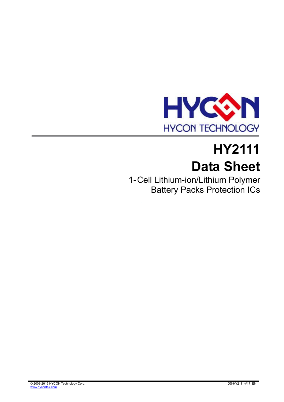

# **HY2111 Data Sheet**

1- Cell Lithium-ion/Lithium Polymer Battery Packs Protection ICs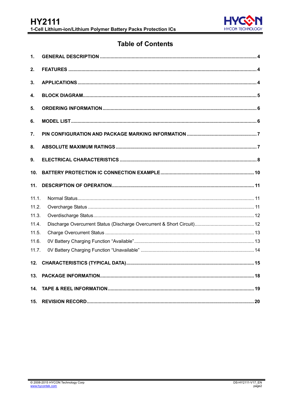

# **Table of Contents**

| $\mathbf 1$ .   |  |
|-----------------|--|
| 2.              |  |
| 3.              |  |
| 4.              |  |
| 5.              |  |
| 6.              |  |
| 7.              |  |
| 8.              |  |
| 9.              |  |
| 10.             |  |
|                 |  |
| 11.             |  |
| 11.1.           |  |
| 11.2.           |  |
| 11.3.           |  |
| 11.4.           |  |
| 11.5.           |  |
| 11.6.           |  |
| 11.7.           |  |
| 12.             |  |
| 13 <sub>1</sub> |  |
| 14.             |  |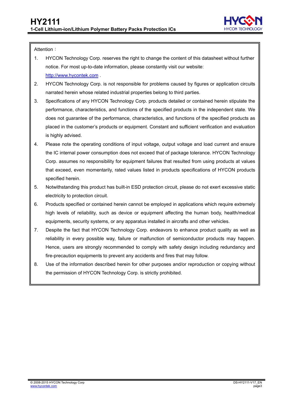

Attention:

- 1. HYCON Technology Corp. reserves the right to change the content of this datasheet without further notice. For most up-to-date information, please constantly visit our website: [http://www.hycontek.com](http://www.hycontek.com/) .
- 2. HYCON Technology Corp. is not responsible for problems caused by figures or application circuits narrated herein whose related industrial properties belong to third parties.
- 3. Specifications of any HYCON Technology Corp. products detailed or contained herein stipulate the performance, characteristics, and functions of the specified products in the independent state. We does not guarantee of the performance, characteristics, and functions of the specified products as placed in the customer's products or equipment. Constant and sufficient verification and evaluation is highly advised.
- 4. Please note the operating conditions of input voltage, output voltage and load current and ensure the IC internal power consumption does not exceed that of package tolerance. HYCON Technology Corp. assumes no responsibility for equipment failures that resulted from using products at values that exceed, even momentarily, rated values listed in products specifications of HYCON products specified herein.
- 5. Notwithstanding this product has built-in ESD protection circuit, please do not exert excessive static electricity to protection circuit.
- 6. Products specified or contained herein cannot be employed in applications which require extremely .high levels of reliability, such as device or equipment affecting the human body, health/medical equipments, security systems, or any apparatus installed in aircrafts and other vehicles.
- 7. Despite the fact that HYCON Technology Corp. endeavors to enhance product quality as well as reliability in every possible way, failure or malfunction of semiconductor products may happen. Hence, users are strongly recommended to comply with safety design including redundancy and fire-precaution equipments to prevent any accidents and fires that may follow.
- 8. Use of the information described herein for other purposes and/or reproduction or copying without the permission of HYCON Technology Corp. is strictly prohibited.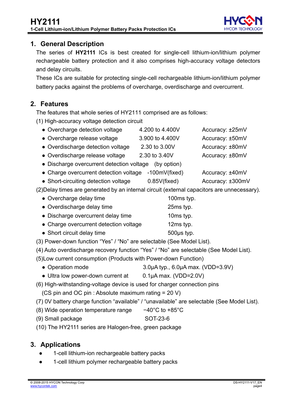

## <span id="page-3-0"></span>**1. General Description**

The series of **HY2111** ICs is best created for single-cell lithium-ion/lithium polymer rechargeable battery protection and it also comprises high-accuracy voltage detectors and delay circuits.

These ICs are suitable for protecting single-cell rechargeable lithium-ion/lithium polymer battery packs against the problems of overcharge, overdischarge and overcurrent.

# <span id="page-3-1"></span>**2. Features**

The features that whole series of HY2111 comprised are as follows:

(1) High-accuracy voltage detection circuit

| • Overcharge detection voltage            | 4.200 to 4.400V | Accuracy: ±25mV |
|-------------------------------------------|-----------------|-----------------|
| • Overcharge release voltage              | 3.900 to 4.400V | Accuracy: ±50mV |
| • Overdischarge detection voltage         | 2.30 to 3.00V   | Accuracy: ±80mV |
| • Overdischarge release voltage           | 2.30 to 3.40V   | Accuracy: ±80mV |
| • Discharge overcurrent detection voltage | (by option)     |                 |
| $\sim$                                    |                 |                 |

- Charge overcurrent detection voltage -100mV(fixed) Accuracy: ±40mV
- Short-circuiting detection voltage 0.85V(fixed) Accuracy: ±300mV

(2)Delay times are generated by an internal circuit (external capacitors are unnecessary).

- Overcharge delay time 100ms typ.
- Overdischarge delay time 25ms typ.
- Discharge overcurrent delay time 10ms typ.
- Charge overcurrent detection voltage 12ms typ.
- Short circuit delay time 500μs typ.
- (3) Power-down function "Yes" / "No" are selectable (See Model List).
- (4) Auto overdischarge recovery function "Yes" / "No" are selectable (See Model List).
- (5)Low current consumption (Products with Power-down Function)
	- Operation mode 3.0μA typ., 6.0μA max. (VDD=3.9V)
	- Ultra low power-down current at 0.1μA max. (VDD=2.0V)
- (6) High-withstanding-voltage device is used for charger connection pins
	- (CS pin and OC pin : Absolute maximum rating = 20 V)
- (7) 0V battery charge function "available" / "unavailable" are selectable (See Model List).
- (8) Wide operation temperature range −40°C to +85°C
- (9) Small package SOT-23-6
- (10) The HY2111 series are Halogen-free, green package

# <span id="page-3-2"></span>**3. Applications**

- 1-cell lithium-ion rechargeable battery packs
- 1-cell lithium polymer rechargeable battery packs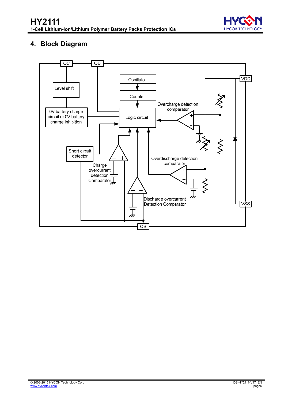

# **4. Block Diagram**

<span id="page-4-0"></span>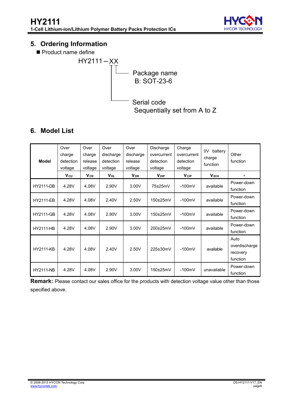

# <span id="page-5-0"></span>**5. Ordering Information**

Product name define



# <span id="page-5-1"></span>**6. Model List**

| <b>Model</b>     | Over<br>charge<br>detection<br>voltage | Over<br>charge<br>release<br>voltage | Over<br>discharge<br>detection<br>voltage | Over<br>discharge<br>release<br>voltage | Discharge<br>overcurrent<br>detection<br>voltage | Charge<br>overcurrent<br>detection<br>voltage | 0V<br>battery<br>charge<br>function | Other<br>function                             |
|------------------|----------------------------------------|--------------------------------------|-------------------------------------------|-----------------------------------------|--------------------------------------------------|-----------------------------------------------|-------------------------------------|-----------------------------------------------|
|                  | $V_{\text{CU}}$                        | $V_{CR}$                             | <b>V<sub>DL</sub></b>                     | <b>V<sub>DR</sub></b>                   | <b>V</b> <sub>DIP</sub>                          | $V_{CIP}$                                     | $V_{0CH}$                           |                                               |
| <b>HY2111-DB</b> | 4.28V                                  | 4.08V                                | 2.90V                                     | 3.00V                                   | 75±25mV                                          | $-100mV$                                      | available                           | Power-down<br>function                        |
| <b>HY2111-EB</b> | 4.28V                                  | 4.08V                                | 2.40V                                     | 2.50V                                   | 150±25mV                                         | $-100mV$                                      | available                           | Power-down<br>function                        |
| <b>HY2111-GB</b> | 4.28V                                  | 4.08V                                | 2.90V                                     | 3.00V                                   | 150±25mV                                         | $-100mV$                                      | available                           | Power-down<br>function                        |
| <b>HY2111-HB</b> | 4.28V                                  | 4.08V                                | 2.90V                                     | 3.00V                                   | 200±25mV                                         | $-100mV$                                      | available                           | Power-down<br>function                        |
| <b>HY2111-KB</b> | 4.28V                                  | 4.08V                                | 2.40V                                     | 2.50V                                   | 225±30mV                                         | $-100mV$                                      | available                           | Auto<br>overdischarge<br>recovery<br>function |
| <b>HY2111-NB</b> | 4.28V                                  | 4.08V                                | 2.90V                                     | 3.00V                                   | 150±25mV                                         | $-100mV$                                      | unavailable                         | Power-down<br>function                        |

**Remark:** Please contact our sales office for the products with detection voltage value other than those specified above.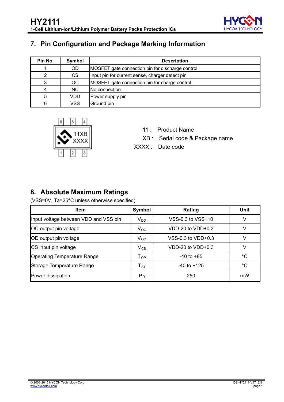

# <span id="page-6-0"></span>**7. Pin Configuration and Package Marking Information**

| Pin No. | Symbol    | <b>Description</b>                               |
|---------|-----------|--------------------------------------------------|
|         | <b>OD</b> | MOSFET gate connection pin for discharge control |
|         | <b>CS</b> | Input pin for current sense, charger detect pin  |
| 3       | ОC        | MOSFET gate connection pin for charge control    |
|         | <b>NC</b> | No connection.                                   |
| 5       | VDD       | Power supply pin                                 |
| 6       | VSS       | Ground pin                                       |



- 11 : Product Name
- XB : Serial code & Package name
- XXXX : Date code

# <span id="page-6-1"></span>**8. Absolute Maximum Ratings**

(VSS=0V, Ta=25**°**C unless otherwise specified)

| (VSS=0V, Ta=25°C unless otherwise specified) |                            |                       |             |  |  |
|----------------------------------------------|----------------------------|-----------------------|-------------|--|--|
| <b>Item</b>                                  | <b>Symbol</b>              | Rating                | Unit        |  |  |
| Input voltage between VDD and VSS pin        | $V_{DD}$                   | VSS-0.3 to VSS+10     | V           |  |  |
| OC output pin voltage                        | $V_{OC}$                   | $VDD-20$ to $VDD+0.3$ | v           |  |  |
| OD output pin voltage                        | $V_{OD}$                   | VSS-0.3 to $VDD+0.3$  | V           |  |  |
| CS input pin voltage                         | $V_{CS}$                   | $VDD-20$ to $VDD+0.3$ | V           |  |  |
| <b>Operating Temperature Range</b>           | $\mathsf{T}_{\mathsf{OP}}$ | $-40$ to $+85$        | $^{\circ}C$ |  |  |
| Storage Temperature Range                    | $T_{ST}$                   | $-40$ to $+125$       | $^{\circ}C$ |  |  |
| Power dissipation                            | $P_D$                      | 250                   | mW          |  |  |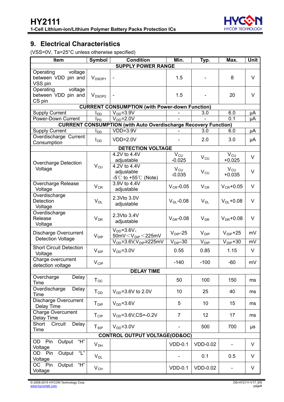

# <span id="page-7-0"></span>**9. Electrical Characteristics**

(VSS=0V, Ta=25°C unless otherwise specified)

| Item                                                        | <b>Symbol</b>          | <b>Condition</b>                                                       | Min.                        | Typ.             | Max.                     | Unit   |
|-------------------------------------------------------------|------------------------|------------------------------------------------------------------------|-----------------------------|------------------|--------------------------|--------|
|                                                             |                        | <b>SUPPLY POWER RANGE</b>                                              |                             |                  |                          |        |
| Operating<br>voltage<br>between VDD pin and<br>VSS pin      | V <sub>DSOP1</sub>     |                                                                        | 1.5                         |                  | 8                        | $\vee$ |
| voltage<br>Operating<br>between VDD pin and<br>CS pin       | V <sub>DSOP2</sub>     |                                                                        | 1.5                         |                  | 20                       | V      |
|                                                             |                        | <b>CURRENT CONSUMPTION (with Power-down Function)</b>                  |                             |                  |                          |        |
| <b>Supply Current</b>                                       | l <sub>DD</sub>        | $V_{DD} = 3.9V$                                                        |                             | 3.0              | 6.0                      | μA     |
| Power-Down Current                                          | <b>I</b> <sub>PD</sub> | $V_{DD} = 2.0V$                                                        |                             |                  | 0.1                      | μA     |
|                                                             |                        | <b>CURRENT CONSUMPTION (with Auto Overdischarge Recovery Function)</b> |                             |                  |                          |        |
| <b>Supply Current</b>                                       | l <sub>DD</sub>        | $VDD=3.9V$                                                             |                             | 3.0              | 6.0                      | μA     |
| Overdischarge Current<br>Consumption                        | $I_{OD}$               | $VDD=2.0V$                                                             |                             | 2.0              | 3.0                      | μA     |
|                                                             |                        | <b>DETECTION VOLTAGE</b>                                               |                             |                  |                          |        |
|                                                             |                        | 4.2V to 4.4V<br>adjustable                                             | $V_{CU}$<br>$-0.025$        | $V_{CU}$         | $V_{CU}$<br>$+0.025$     | V      |
| <b>Overcharge Detection</b><br>Voltage                      | $V_{CU}$               | 4.2V to 4.4V<br>adjustable<br>$-5^{\circ}$ C to +55 $\circ$ (Note)     | $V_{\text{CU}}$<br>$-0.035$ | $V_{CU}$         | $V_{CU}$<br>$+0.035$     | V      |
| Overcharge Release<br>Voltage                               | $V_{CR}$               | 3.9V to 4.4V<br>adjustable                                             | $V_{CR}$ -0.05              | $V_{CR}$         | $V_{CR}$ +0.05           | V      |
| Overdischarge<br>Detection<br>Voltage                       | $V_{DL}$               | 2.3Vto 3.0V<br>adjustable                                              | $V_{DL}$ -0.08              | $V_{DL}$         | $V_{DL}$ +0.08           | $\vee$ |
| Overdischarge<br>Release<br>Voltage                         | $V_{DR}$               | 2.3Vto 3.4V<br>adjustable                                              | $V_{DR}$ -0.08              | $V_{DR}$         | $V_{DR}$ +0.08           | $\vee$ |
| <b>Discharge Overcurrent</b><br><b>Detection Voltage</b>    | $V_{\text{DIP}}$       | $VDD=3.6V$ ,<br>50mV $<$ V <sub>DIP</sub> $<$ 225mV                    | $V_{\text{DIP}}-25$         | $V_{\text{DIP}}$ | $V_{\text{DIP}}$ +25     | mV     |
|                                                             |                        | $V_{DD} = 3.6 V, V_{DIP} \ge 225 mV$                                   | $V_{\text{DIP}}$ -30        | $V_{\text{DIP}}$ | $V_{\text{DIP}} + 30$    | mV     |
| <b>Short Circuit Detection</b><br>Voltage                   | $V_{\text{SIP}}$       | $V_{DD} = 3.0V$                                                        | 0.55                        | 0.85             | 1.15                     | V      |
| Charge overcurrent<br>detection voltage                     | $V_{\text{CIP}}$       |                                                                        | $-140$                      | $-100$           | $-60$                    | mV     |
|                                                             |                        | <b>DELAY TIME</b>                                                      |                             |                  |                          |        |
| Overcharge<br>Delay<br>Time                                 | $T_{OC}$               |                                                                        | 50                          | 100              | 150                      | ms     |
| Overdischarge<br>Delay<br>Time                              | $T_{OD}$               | $V_{DD} = 3.6V$ to 2.0V                                                | 10                          | 25               | 40                       | ms     |
| <b>Discharge Overcurrent</b><br>Delay Time                  | T <sub>DIP</sub>       | $VDD=3.6V$                                                             | 5                           | 10               | 15                       | ms     |
| <b>Charge Overcurrent</b><br>Delay Time                     | $T_{CIP}$              | $V_{DD} = 3.6 V, CS = -0.2 V$                                          | $\overline{7}$              | 12               | 17                       | ms     |
| Short<br>Circuit<br>Delay<br>Time                           | $T_{\,\mathrm{SIP}}$   | $VDD=3.0V$                                                             |                             | 500              | 700                      | μs     |
| <b>CONTROL OUTPUT VOLTAGE(OD&amp;OC)</b>                    |                        |                                                                        |                             |                  |                          |        |
| $H^{\prime\prime}$<br>Output<br>Pin<br>OD<br>Voltage        | $V_{DH}$               |                                                                        | $VDD-0.1$                   | <b>VDD-0.02</b>  | $\overline{a}$           | V      |
| $\overline{\mathbb{L}^n}$<br>Output<br>OD<br>Pin<br>Voltage | $V_{DL}$               |                                                                        | $\overline{\phantom{a}}$    | 0.1              | 0.5                      | V      |
| " $H$ "<br>Output<br>Pin<br>OC .<br>Voltage                 | $V_{CH}$               |                                                                        | $VDD-0.1$                   | <b>VDD-0.02</b>  | $\overline{\phantom{a}}$ | V      |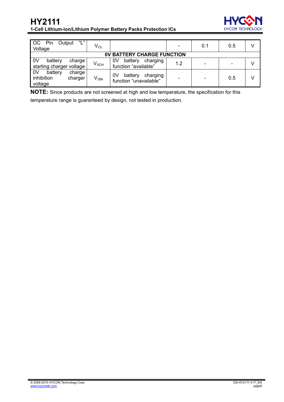

| "L"<br>OC<br>Pin<br>Output<br>Voltage                           | $\mathsf{V}_{\mathsf{CL}}$ |                                                     |     | 0.1                      | 0.5 |  |
|-----------------------------------------------------------------|----------------------------|-----------------------------------------------------|-----|--------------------------|-----|--|
| <b>BATTERY CHARGE FUNCTION</b><br>0V                            |                            |                                                     |     |                          |     |  |
| 0 <sup>V</sup><br>battery<br>charge<br>starting charger voltage | $V_{OCH}$                  | battery<br>0V<br>charging<br>function "available"   | 1.2 | -                        |     |  |
| 0V<br>battery<br>charge<br>inhibition<br>charger<br>voltage     | V <sub>OIN</sub>           | 0V<br>battery<br>charging<br>function "unavailable" |     | $\overline{\phantom{a}}$ | 0.5 |  |

**NOTE:** Since products are not screened at high and low temperature, the specification for this

temperature range is guaranteed by design, not tested in production.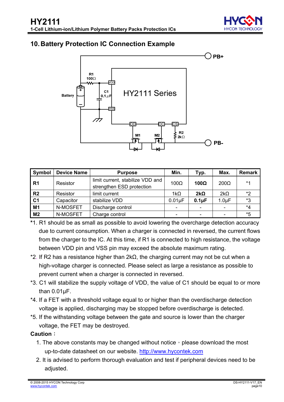

# <span id="page-9-0"></span>**10. Battery Protection IC Connection Example**



| Symbol         | <b>Device Name</b> | <b>Purpose</b>                                                | Min.        | Typ.         | Max.        | Remark |
|----------------|--------------------|---------------------------------------------------------------|-------------|--------------|-------------|--------|
| R1             | Resistor           | limit current, stabilize VDD and<br>strengthen ESD protection | $100\Omega$ | 100 $\Omega$ | $200\Omega$ | $*1$   |
| R <sub>2</sub> | Resistor           | limit current                                                 | 1k $\Omega$ | $2k\Omega$   | $2k\Omega$  | *2     |
| C <sub>1</sub> | Capacitor          | stabilize VDD                                                 | $0.01\mu F$ | $0.1\mu F$   | $1.0 \mu F$ | *3     |
| M <sub>1</sub> | N-MOSFET           | Discharge control                                             |             |              |             | *4     |
| M <sub>2</sub> | N-MOSFET           | Charge control                                                |             |              |             | *5     |

- **\***1. R1 should be as small as possible to avoid lowering the overcharge detection accuracy due to current consumption. When a charger is connected in reversed, the current flows from the charger to the IC. At this time, if R1 is connected to high resistance, the voltage between VDD pin and VSS pin may exceed the absolute maximum rating.
- \*2. If R2 has a resistance higher than 2kΩ, the charging current may not be cut when a high-voltage charger is connected. Please select as large a resistance as possible to prevent current when a charger is connected in reversed.
- \*3. C1 will stabilize the supply voltage of VDD, the value of C1 should be equal to or more than 0.01μF.
- \*4. If a FET with a threshold voltage equal to or higher than the overdischarge detection voltage is applied, discharging may be stopped before overdischarge is detected.
- \*5. If the withstanding voltage between the gate and source is lower than the charger voltage, the FET may be destroyed.

### **Caution**:

- 1. The above constants may be changed without notice, please download the most up-to-date datasheet on our website. [http://www.hycontek.com](http://www.hycontek.com/)
- 2. It is advised to perform thorough evaluation and test if peripheral devices need to be adjusted.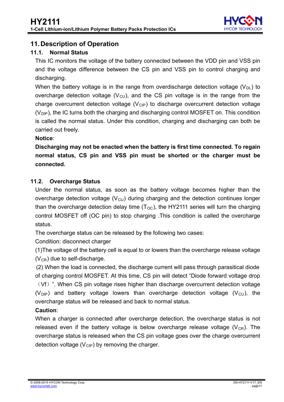

# <span id="page-10-0"></span>**11. Description of Operation**

### <span id="page-10-1"></span>**11.1. Normal Status**

This IC monitors the voltage of the battery connected between the VDD pin and VSS pin and the voltage difference between the CS pin and VSS pin to control charging and discharging.

When the battery voltage is in the range from overdischarge detection voltage  $(V_{\text{DL}})$  to overcharge detection voltage  $(V<sub>CU</sub>)$ , and the CS pin voltage is in the range from the charge overcurrent detection voltage  $(V_{\text{CIP}})$  to discharge overcurrent detection voltage  $(V_{\text{DIP}})$ , the IC turns both the charging and discharging control MOSFET on. This condition is called the normal status. Under this condition, charging and discharging can both be carried out freely.

**Notice**:

**Discharging may not be enacted when the battery is first time connected. To regain normal status, CS pin and VSS pin must be shorted or the charger must be connected.** 

### <span id="page-10-2"></span>**11.2. Overcharge Status**

Under the normal status, as soon as the battery voltage becomes higher than the overcharge detection voltage ( $V_{\text{CU}}$ ) during charging and the detection continues longer than the overcharge detection delay time  $(T<sub>OC</sub>)$ , the HY2111 series will turn the charging control MOSFET off (OC pin) to stop charging .This condition is called the overcharge status.

The overcharge status can be released by the following two cases:

Condition: disconnect charger

(1)The voltage of the battery cell is equal to or lowers than the overcharge release voltage  $(V_{CR})$  due to self-discharge.

overcharge status will be released and back to normal status. (2) When the load is connected, the discharge current will pass through parasitical diode of charging control MOSFET. At this time, CS pin will detect "Diode forward voltage drop (Vf)". When CS pin voltage rises higher than discharge overcurrent detection voltage ( $V_{\text{DIP}}$ ) and battery voltage lowers than overcharge detection voltage ( $V_{\text{CU}}$ ), the

## **Caution**:

When a charger is connected after overcharge detection, the overcharge status is not released even if the battery voltage is below overcharge release voltage  $(V_{CR})$ . The overcharge status is released when the CS pin voltage goes over the charge overcurrent detection voltage ( $V_{\text{ClP}}$ ) by removing the charger.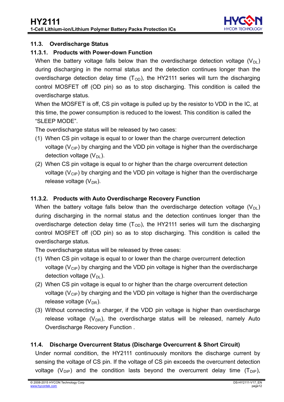

### <span id="page-11-0"></span>**11.3. Overdischarge Status**

### **11.3.1. Products with Power-down Function**

When the battery voltage falls below than the overdischarge detection voltage  $(V_{\text{DL}})$ during discharging in the normal status and the detection continues longer than the overdischarge detection delay time  $(T<sub>OD</sub>)$ , the HY2111 series will turn the discharging control MOSFET off (OD pin) so as to stop discharging. This condition is called the overdischarge status.

When the MOSFET is off, CS pin voltage is pulled up by the resistor to VDD in the IC, at this time, the power consumption is reduced to the lowest. This condition is called the "SLEEP MODE".

The overdischarge status will be released by two cases:

- (1) When CS pin voltage is equal to or lower than the charge overcurrent detection voltage ( $V_{\text{CIP}}$ ) by charging and the VDD pin voltage is higher than the overdischarge detection voltage  $(V_{\text{DI}})$ .
- (2) When CS pin voltage is equal to or higher than the charge overcurrent detection voltage  $(V_{\text{CIP}})$  by charging and the VDD pin voltage is higher than the overdischarge release voltage  $(V_{DR})$ .

# **11.3.2. Products with Auto Overdischarge Recovery Function**  .

When the battery voltage falls below than the overdischarge detection voltage  $(V_{\text{DL}})$ during discharging in the normal status and the detection continues longer than the overdischarge detection delay time  $(T<sub>OD</sub>)$ , the HY2111 series will turn the discharging control MOSFET off (OD pin) so as to stop discharging. This condition is called the overdischarge status.

The overdischarge status will be released by three cases:

- (1) When CS pin voltage is equal to or lower than the charge overcurrent detection voltage ( $V_{\text{CIP}}$ ) by charging and the VDD pin voltage is higher than the overdischarge detection voltage  $(V_{\text{DI}})$ .
- (2) When CS pin voltage is equal to or higher than the charge overcurrent detection voltage ( $V_{\text{CIP}}$ ) by charging and the VDD pin voltage is higher than the overdischarge release voltage  $(V_{DR})$ .
- (3) Without connecting a charger, if the VDD pin voltage is higher than overdischarge release voltage  $(V_{DR})$ , the overdischarge status will be released, namely Auto Overdischarge Recovery Function .

### <span id="page-11-1"></span>**11.4. Discharge Overcurrent Status (Discharge Overcurrent & Short Circuit)**

Under normal condition, the HY2111 continuously monitors the discharge current by sensing the voltage of CS pin. If the voltage of CS pin exceeds the overcurrent detection voltage (V<sub>DIP</sub>) and the condition lasts beyond the overcurrent delay time (T<sub>DIP</sub>),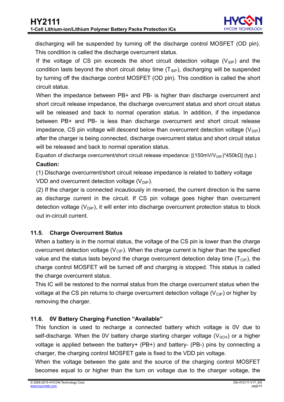discharging will be suspended by turning off the discharge control MOSFET (OD pin). This condition is called the discharge overcurrent status.

circuit status. If the voltage of CS pin exceeds the short circuit detection voltage  $(V_{\text{SIP}})$  and the condition lasts beyond the short circuit delay time  $(T_{\text{SIP}})$ , discharging will be suspended by turning off the discharge control MOSFET (OD pin). This condition is called the short

When the impedance between PB+ and PB- is higher than discharge overcurrent and short circuit release impedance, the discharge overcurrent status and short circuit status will be released and back to normal operation status. In addition, if the impedance between PB+ and PB- is less than discharge overcurrent and short circuit release impedance, CS pin voltage will descend below than overcurrent detection voltage ( $V_{\text{DIP}}$ ) after the charger is being connected, discharge overcurrent status and short circuit status will be released and back to normal operation status.

Equation of discharge overcurrent/short circuit release impedance:  $[(150mV/V_{DP})*450kΩ]$  (typ.)

### **Caution:**

(1) Discharge overcurrent/short circuit release impedance is related to battery voltage VDD and overcurrent detection voltage  $(V_{\text{DIP}})$ .

(2) If the charger is connected incautiously in reversed, the current direction is the same as discharge current in the circuit. If CS pin voltage goes higher than overcurrent .detection voltage  $(V_{\text{DIP}})$ , it will enter into discharge overcurrent protection status to block out in-circuit current.

### <span id="page-12-0"></span>**11.5. Charge Overcurrent Status**

When a battery is in the normal status, the voltage of the CS pin is lower than the charge overcurrent detection voltage ( $V_{\text{CIP}}$ ). When the charge current is higher than the specified value and the status lasts beyond the charge overcurrent detection delay time  $(T_{\text{CIP}})$ , the charge control MOSFET will be turned off and charging is stopped. This status is called the charge overcurrent status.

This IC will be restored to the normal status from the charge overcurrent status when the voltage at the CS pin returns to charge overcurrent detection voltage  $(V_{\text{CIP}})$  or higher by removing the charger.

## <span id="page-12-1"></span>**11.6. 0V Battery Charging Function "Available"**

This function is used to recharge a connected battery which voltage is 0V due to self-discharge. When the 0V battery charge starting charger voltage  $(V_{0CH})$  or a higher voltage is applied between the battery+ (PB+) and battery- (PB-) pins by connecting a charger, the charging control MOSFET gate is fixed to the VDD pin voltage.

When the voltage between the gate and the source of the charging control MOSFET becomes equal to or higher than the turn on voltage due to the charger voltage, the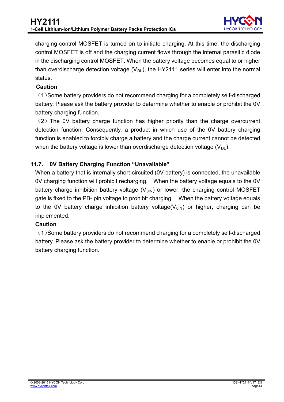

charging control MOSFET is turned on to initiate charging. At this time, the discharging control MOSFET is off and the charging current flows through the internal parasitic diode in the discharging control MOSFET. When the battery voltage becomes equal to or higher than overdischarge detection voltage  $(V_{DL})$ , the HY2111 series will enter into the normal status.

### **Caution**

(1)Some battery providers do not recommend charging for a completely self-discharged battery. Please ask the battery provider to determine whether to enable or prohibit the 0V battery charging function.

(2)The 0V battery charge function has higher priority than the charge overcurrent detection function. Consequently, a product in which use of the 0V battery charging function is enabled to forcibly charge a battery and the charge current cannot be detected when the battery voltage is lower than overdischarge detection voltage  $(V_{DL})$ .

### <span id="page-13-0"></span>**11.7. 0V Battery Charging Function "Unavailable"**

When a battery that is internally short-circuited (0V battery) is connected, the unavailable 0V charging function will prohibit recharging. When the battery voltage equals to the 0V battery charge inhibition battery voltage  $(V_{0IN})$  or lower, the charging control MOSFET gate is fixed to the PB- pin voltage to prohibit charging. When the battery voltage equals .to the 0V battery charge inhibition battery voltage( $V_{01N}$ ) or higher, charging can be implemented.

### **Caution**

(1)Some battery providers do not recommend charging for a completely self-discharged battery. Please ask the battery provider to determine whether to enable or prohibit the 0V battery charging function.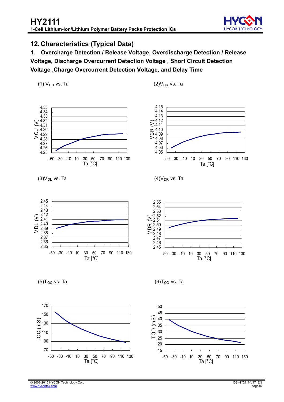

### <span id="page-14-0"></span>**12. Characteristics (Typical Data)**

**1. Overcharge Detection / Release Voltage, Overdischarge Detection / Release Voltage, Discharge Overcurrent Detection Voltage , Short Circuit Detection Voltage ,Charge Overcurrent Detection Voltage, and Delay Time** 

(1)  $V_{\text{CU}}$  vs. Ta (2) $V_{\text{CR}}$  vs. Ta



 $(3)V_{DL}$  vs. Ta  $(4)V_{DR}$  vs. Ta









 $(5)T_{OC}$  vs. Ta (6)T<sub>OD</sub> vs. Ta



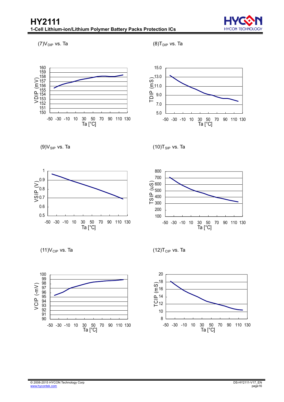

 $(7)V_{\text{DIP}}$  vs. Ta (8)T<sub>DIP</sub> vs. Ta



5.0 7.0 9.0 11.0 13.0 15.0 -50 -30 -10 10 30 50 70 90 110 130 30 50<br>Ta [°C] TDIP (mS)



 $(9)V_{SIP}$  vs. Ta (10)T<sub>SIP</sub> vs. Ta



 $(11)V_{\text{CIP}}$  vs. Ta (12)T<sub>CIP</sub> vs. Ta



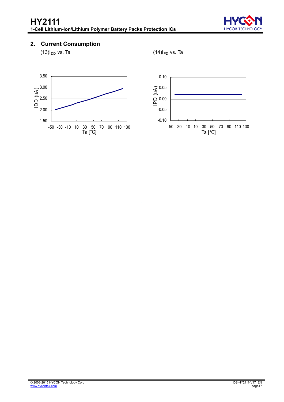

### **2. Current Consumption**

 $(13)I_{DD}$  vs. Ta (14) $I_{PD}$  vs. Ta



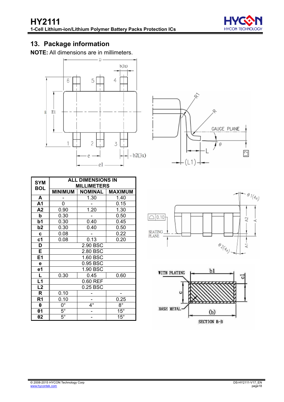

# <span id="page-17-0"></span>**13. Package information**

**NOTE:** All dimensions are in millimeters.





| <b>SYM</b>              | <b>ALL DIMENSIONS IN</b><br><b>MILLIMETERS</b> |                |                |  |  |  |  |  |  |
|-------------------------|------------------------------------------------|----------------|----------------|--|--|--|--|--|--|
| <b>BOL</b>              | <b>MINIMUM</b>                                 | <b>NOMINAL</b> | <b>MAXIMUM</b> |  |  |  |  |  |  |
| A                       |                                                | 1.30           | 1.40           |  |  |  |  |  |  |
| A1                      | 0                                              |                | 0.15           |  |  |  |  |  |  |
| A2                      | 0.90                                           | 1.20           | 1.30           |  |  |  |  |  |  |
| b                       | 0.30                                           |                | 0.50           |  |  |  |  |  |  |
| b1                      | 0.30                                           | 0.40           | 0.45           |  |  |  |  |  |  |
| b <sub>2</sub>          | 0.30                                           | 0.40           | 0.50           |  |  |  |  |  |  |
| C                       | 0.08                                           |                | 0.22           |  |  |  |  |  |  |
| c <sub>1</sub>          | 0.08                                           | 0.13           | 0.20           |  |  |  |  |  |  |
| D                       |                                                | 2.90 BSC       |                |  |  |  |  |  |  |
| E                       |                                                | 2.80 BSC       |                |  |  |  |  |  |  |
| E <sub>1</sub>          |                                                | 1.60 BSC       |                |  |  |  |  |  |  |
| е                       |                                                | 0.95 BSC       |                |  |  |  |  |  |  |
| e1                      |                                                | 1.90 BSC       |                |  |  |  |  |  |  |
| $\overline{\mathsf{L}}$ | 0.30                                           | 0.45           | 0.60           |  |  |  |  |  |  |
| L1                      |                                                | 0.60 REF       |                |  |  |  |  |  |  |
| L2                      |                                                | $0.25$ BSC     |                |  |  |  |  |  |  |
| R                       | 0.10                                           |                |                |  |  |  |  |  |  |
| R <sub>1</sub>          | 0.10                                           |                | 0.25           |  |  |  |  |  |  |
| θ                       | $0^{\circ}$                                    | $4^\circ$      | $8^{\circ}$    |  |  |  |  |  |  |
| $\theta$ 1              | $5^{\circ}$                                    |                | $15^\circ$     |  |  |  |  |  |  |
| $\theta$ 2              | $5^{\circ}$                                    |                | $15^{\circ}$   |  |  |  |  |  |  |



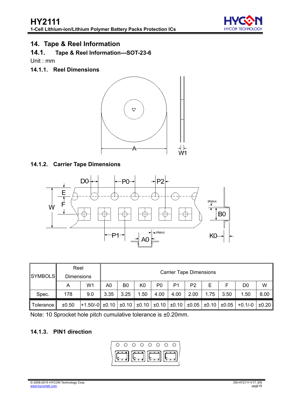

# <span id="page-18-0"></span>**14. Tape & Reel Information**

### **14.1. Tape & Reel Information---SOT-23-6**

Unit : mm

**14.1.1. Reel Dimensions** 



### **14.1.2. Carrier Tape Dimensions**



|                | Reel              |                                                                                                                                          |      | <b>Carrier Tape Dimensions</b> |      |                |      |                |      |      |                |      |
|----------------|-------------------|------------------------------------------------------------------------------------------------------------------------------------------|------|--------------------------------|------|----------------|------|----------------|------|------|----------------|------|
| <b>SYMBOLS</b> | <b>Dimensions</b> |                                                                                                                                          |      |                                |      |                |      |                |      |      |                |      |
|                | A                 | W1                                                                                                                                       | A0   | B0                             | K0   | P <sub>0</sub> | P1   | P <sub>2</sub> | Е    |      | D <sub>0</sub> | W    |
| Spec.          | 178               | 9.0                                                                                                                                      | 3.35 | 3.25                           | 1.50 | 4.00           | 4.00 | 2.00           | 1.75 | 3.50 | 1.50           | 8.00 |
| Tolerance      | ±0.50             | $\pm 1.50/-0$ $\pm 0.10$ $\pm 0.10$ $\pm 0.10$ $\pm 0.10$ $\pm 0.10$ $\pm 0.05$ $\pm 0.05$ $\pm 0.05$ $\pm 0.05$ $\pm 0.1/-0$ $\pm 0.20$ |      |                                |      |                |      |                |      |      |                |      |

Note: 10 Sprocket hole pitch cumulative tolerance is ±0.20mm.

### **14.1.3. PIN1 direction**